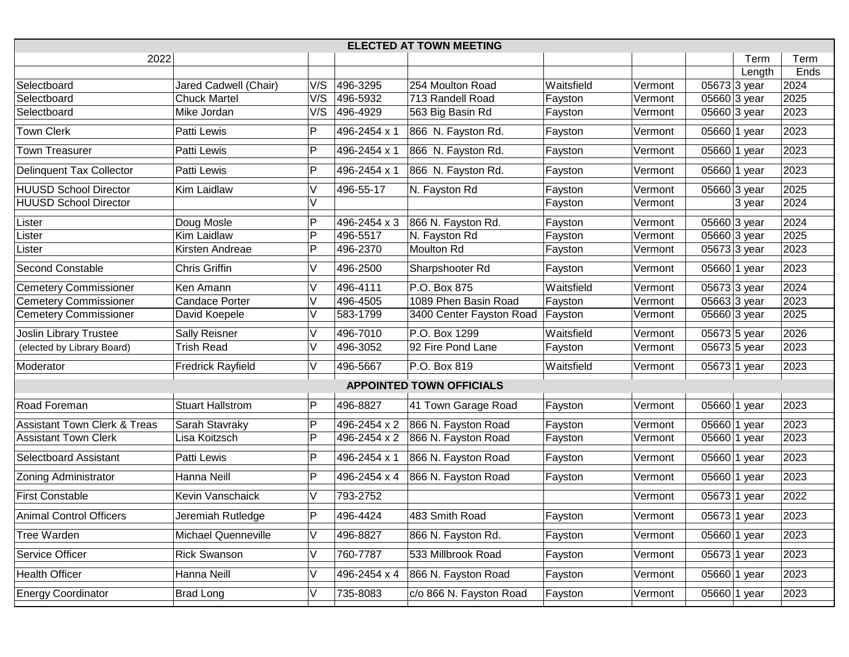| <b>ELECTED AT TOWN MEETING</b>          |                          |        |              |                          |            |         |  |                           |      |  |
|-----------------------------------------|--------------------------|--------|--------------|--------------------------|------------|---------|--|---------------------------|------|--|
| 2022                                    |                          |        |              |                          |            |         |  | Term                      | Term |  |
|                                         |                          |        |              |                          |            |         |  | Length                    | Ends |  |
| Selectboard                             | Jared Cadwell (Chair)    | V/S    | 496-3295     | 254 Moulton Road         | Waitsfield | Vermont |  | 05673 3 year              | 2024 |  |
| Selectboard                             | <b>Chuck Martel</b>      | V/S    | 496-5932     | 713 Randell Road         | Fayston    | Vermont |  | 05660 3 year              | 2025 |  |
| Selectboard                             | Mike Jordan              | V/S    | 496-4929     | 563 Big Basin Rd         | Fayston    | Vermont |  | 05660 3 year              | 2023 |  |
| <b>Town Clerk</b>                       | Patti Lewis              | P      | 496-2454 x 1 | 866 N. Fayston Rd.       | Fayston    | Vermont |  | 05660 1 year              | 2023 |  |
| <b>Town Treasurer</b>                   | Patti Lewis              | P      | 496-2454 x 1 | 866 N. Fayston Rd.       | Fayston    | Vermont |  | 05660 1 year              | 2023 |  |
| <b>Delinquent Tax Collector</b>         | Patti Lewis              | P      | 496-2454 x 1 | 866 N. Fayston Rd.       | Fayston    | Vermont |  | $\overline{05660}$ 1 year | 2023 |  |
| <b>HUUSD School Director</b>            | Kim Laidlaw              | V      | 496-55-17    | N. Fayston Rd            | Fayston    | Vermont |  | 05660 3 year              | 2025 |  |
| <b>HUUSD School Director</b>            |                          | $\vee$ |              |                          | Fayston    | Vermont |  | 3 year                    | 2024 |  |
| Lister                                  | Doug Mosle               | P      | 496-2454 x 3 | 866 N. Fayston Rd.       | Fayston    | Vermont |  | 05660 3 year              | 2024 |  |
| _ister                                  | Kim Laidlaw              | P      | 496-5517     | N. Fayston Rd            | Fayston    | Vermont |  | 05660 3 year              | 2025 |  |
| _ister                                  | Kirsten Andreae          | P      | 496-2370     | Moulton Rd               | Fayston    | Vermont |  | 05673 3 year              | 2023 |  |
| Second Constable                        | <b>Chris Griffin</b>     | V      | 496-2500     | Sharpshooter Rd          | Fayston    | Vermont |  | 05660 1 year              | 2023 |  |
| <b>Cemetery Commissioner</b>            | Ken Amann                | V      | 496-4111     | P.O. Box 875             | Waitsfield | Vermont |  | 05673 3 year              | 2024 |  |
| <b>Cemetery Commissioner</b>            | <b>Candace Porter</b>    |        | 496-4505     | 1089 Phen Basin Road     | Fayston    | Vermont |  | 05663 3 year              | 2023 |  |
| <b>Cemetery Commissioner</b>            | David Koepele            | V      | 583-1799     | 3400 Center Fayston Road | Fayston    | Vermont |  | 05660 3 year              | 2025 |  |
| <b>Joslin Library Trustee</b>           | Sally Reisner            | V      | 496-7010     | P.O. Box 1299            | Waitsfield | Vermont |  | 05673 5 year              | 2026 |  |
| (elected by Library Board)              | <b>Trish Read</b>        | V      | 496-3052     | 92 Fire Pond Lane        | Fayston    | Vermont |  | 05673 5 year              | 2023 |  |
| Moderator                               | <b>Fredrick Rayfield</b> | V      | 496-5667     | P.O. Box 819             | Waitsfield | Vermont |  | 05673 1 year              | 2023 |  |
| <b>APPOINTED TOWN OFFICIALS</b>         |                          |        |              |                          |            |         |  |                           |      |  |
| Road Foreman                            | <b>Stuart Hallstrom</b>  | P      | 496-8827     | 41 Town Garage Road      | Fayston    | Vermont |  | 05660 1 year              | 2023 |  |
| <b>Assistant Town Clerk &amp; Treas</b> | Sarah Stavraky           | P      | 496-2454 x 2 | 866 N. Fayston Road      | Fayston    | Vermont |  | 05660 1 year              | 2023 |  |
| <b>Assistant Town Clerk</b>             | Lisa Koitzsch            | P      | 496-2454 x 2 | 866 N. Fayston Road      | Fayston    | Vermont |  | 05660 1 year              | 2023 |  |
| Selectboard Assistant                   | Patti Lewis              | P      | 496-2454 x 1 | 866 N. Fayston Road      | Fayston    | Vermont |  | 05660 1 year              | 2023 |  |
| <b>Zoning Administrator</b>             | Hanna Neill              | P      | 496-2454 x 4 | 866 N. Fayston Road      | Fayston    | Vermont |  | 05660 1 year              | 2023 |  |
| <b>First Constable</b>                  | Kevin Vanschaick         | V      | 793-2752     |                          |            | Vermont |  | 05673 1 year              | 2022 |  |
| <b>Animal Control Officers</b>          | Jeremiah Rutledge        | P      | 496-4424     | 483 Smith Road           | Fayston    | Vermont |  | 05673 1 year              | 2023 |  |
| Tree Warden                             | Michael Quenneville      | V      | 496-8827     | 866 N. Fayston Rd.       | Fayston    | Vermont |  | 05660 1 year              | 2023 |  |
| Service Officer                         | <b>Rick Swanson</b>      | V      | 760-7787     | 533 Millbrook Road       | Fayston    | Vermont |  | 05673 1 year              | 2023 |  |
| <b>Health Officer</b>                   | Hanna Neill              | V      | 496-2454 x 4 | 866 N. Fayston Road      | Fayston    | Vermont |  | 05660 1 year              | 2023 |  |
| <b>Energy Coordinator</b>               | <b>Brad Long</b>         |        | 735-8083     | c/o 866 N. Fayston Road  | Fayston    | Vermont |  | 05660 1 year              | 2023 |  |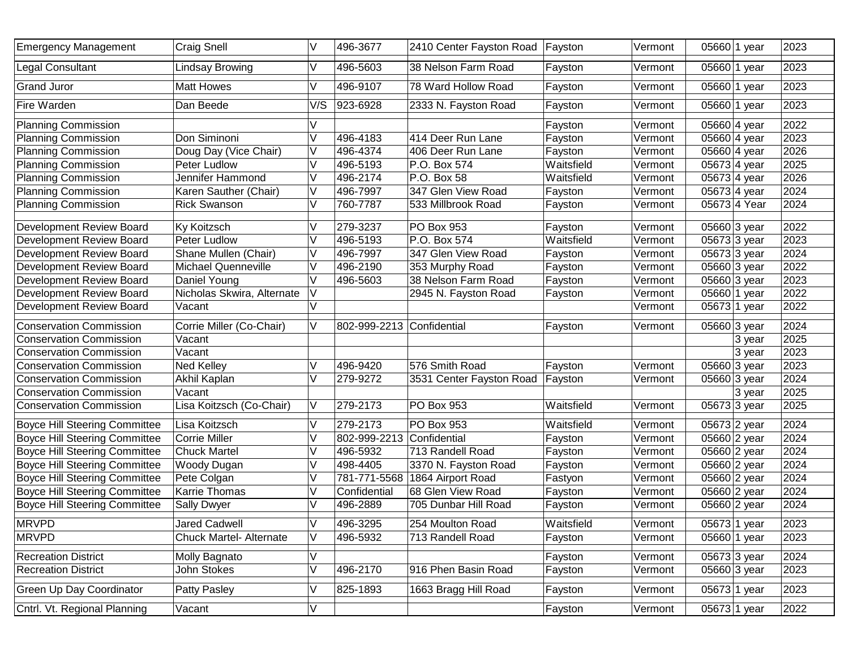| <b>Emergency Management</b>          | Craig Snell                    | V      | 496-3677                  | 2410 Center Fayston Road | Fayston    | Vermont | 05660 1 year              | 2023 |
|--------------------------------------|--------------------------------|--------|---------------------------|--------------------------|------------|---------|---------------------------|------|
| <b>Legal Consultant</b>              | <b>Lindsay Browing</b>         | V      | 496-5603                  | 38 Nelson Farm Road      | Fayston    | Vermont | 05660 1 year              | 2023 |
| <b>Grand Juror</b>                   | <b>Matt Howes</b>              | V      | 496-9107                  | 78 Ward Hollow Road      | Fayston    | Vermont | 05660 1 year              | 2023 |
| Fire Warden                          | Dan Beede                      | V/S    | 923-6928                  | 2333 N. Fayston Road     | Fayston    | Vermont | 05660 1 year              | 2023 |
| <b>Planning Commission</b>           |                                |        |                           |                          | Fayston    | Vermont | 05660 4 year              | 2022 |
| <b>Planning Commission</b>           | Don Siminoni                   | V      | 496-4183                  | 414 Deer Run Lane        | Fayston    | Vermont | 05660 4 year              | 2023 |
| <b>Planning Commission</b>           | Doug Day (Vice Chair)          | V      | 496-4374                  | 406 Deer Run Lane        | Fayston    | Vermont | 05660 4 year              | 2026 |
| <b>Planning Commission</b>           | Peter Ludlow                   | $\vee$ | 496-5193                  | P.O. Box 574             | Waitsfield | Vermont | 05673 4 year              | 2025 |
| <b>Planning Commission</b>           | Jennifer Hammond               | V      | 496-2174                  | P.O. Box 58              | Waitsfield | Vermont | 05673 4 year              | 2026 |
| <b>Planning Commission</b>           | Karen Sauther (Chair)          | V      | 496-7997                  | 347 Glen View Road       | Fayston    | Vermont | 05673 4 year              | 2024 |
| <b>Planning Commission</b>           | <b>Rick Swanson</b>            | V      | 760-7787                  | 533 Millbrook Road       | Fayston    | Vermont | 05673 4 Year              | 2024 |
| Development Review Board             | <b>Ky Koitzsch</b>             | V      | 279-3237                  | PO Box 953               | Fayston    | Vermont | 05660 3 year              | 2022 |
| Development Review Board             | <b>Peter Ludlow</b>            | V      | 496-5193                  | P.O. Box 574             | Waitsfield | Vermont | 05673 3 year              | 2023 |
| Development Review Board             | Shane Mullen (Chair)           | V      | 496-7997                  | 347 Glen View Road       | Fayston    | Vermont | $\overline{05673}$ 3 year | 2024 |
| Development Review Board             | <b>Michael Quenneville</b>     | V      | 496-2190                  | 353 Murphy Road          | Fayston    | Vermont | 05660 3 year              | 2022 |
| Development Review Board             | Daniel Young                   | V      | 496-5603                  | 38 Nelson Farm Road      | Fayston    | Vermont | $\overline{05660}$ 3 year | 2023 |
| Development Review Board             | Nicholas Skwira, Alternate     | V      |                           | 2945 N. Fayston Road     | Fayston    | Vermont | $\overline{05660}$ 1 year | 2022 |
| Development Review Board             | Vacant                         | $\vee$ |                           |                          |            | Vermont | 05673 1 year              | 2022 |
| <b>Conservation Commission</b>       | Corrie Miller (Co-Chair)       | V      | 802-999-2213 Confidential |                          | Fayston    | Vermont | 05660 3 year              | 2024 |
| <b>Conservation Commission</b>       | Vacant                         |        |                           |                          |            |         | 3 year                    | 2025 |
| <b>Conservation Commission</b>       | Vacant                         |        |                           |                          |            |         | 3 year                    | 2023 |
| <b>Conservation Commission</b>       | <b>Ned Kelley</b>              | V      | 496-9420                  | 576 Smith Road           | Fayston    | Vermont | 05660 3 year              | 2023 |
| <b>Conservation Commission</b>       | Akhil Kaplan                   | V      | 279-9272                  | 3531 Center Fayston Road | Fayston    | Vermont | 05660 3 year              | 2024 |
| <b>Conservation Commission</b>       | Vacant                         |        |                           |                          |            |         | 3 year                    | 2025 |
| <b>Conservation Commission</b>       | Lisa Koitzsch (Co-Chair)       | V      | 279-2173                  | PO Box 953               | Waitsfield | Vermont | 05673 3 year              | 2025 |
| <b>Boyce Hill Steering Committee</b> | Lisa Koitzsch                  | V      | 279-2173                  | PO Box 953               | Waitsfield | Vermont | 05673 2 year              | 2024 |
| <b>Boyce Hill Steering Committee</b> | <b>Corrie Miller</b>           | V      | 802-999-2213              | Confidential             | Fayston    | Vermont | 05660 2 year              | 2024 |
| <b>Boyce Hill Steering Committee</b> | <b>Chuck Martel</b>            | V      | 496-5932                  | 713 Randell Road         | Fayston    | Vermont | 05660 2 year              | 2024 |
| <b>Boyce Hill Steering Committee</b> | Woody Dugan                    | V      | 498-4405                  | 3370 N. Fayston Road     | Fayston    | Vermont | 05660 2 year              | 2024 |
| <b>Boyce Hill Steering Committee</b> | Pete Colgan                    | V      | 781-771-5568              | 1864 Airport Road        | Fastyon    | Vermont | 05660 2 year              | 2024 |
| <b>Boyce Hill Steering Committee</b> | Karrie Thomas                  | V      | Confidential              | 68 Glen View Road        | Fayston    | Vermont | 05660 2 year              | 2024 |
| <b>Boyce Hill Steering Committee</b> | <b>Sally Dwyer</b>             | V      | 496-2889                  | 705 Dunbar Hill Road     | Fayston    | Vermont | 05660 2 year              | 2024 |
| <b>MRVPD</b>                         | <b>Jared Cadwell</b>           | v      | 496-3295                  | 254 Moulton Road         | Waitsfield | Vermont | 05673 1 year              | 2023 |
| <b>MRVPD</b>                         | <b>Chuck Martel- Alternate</b> | V      | 496-5932                  | 713 Randell Road         | Fayston    | Vermont | 05660 1 year              | 2023 |
| <b>Recreation District</b>           | <b>Molly Bagnato</b>           | V      |                           |                          | Fayston    | Vermont | 05673 3 year              | 2024 |
| <b>Recreation District</b>           | John Stokes                    | V      | 496-2170                  | 916 Phen Basin Road      | Fayston    | Vermont | 05660 3 year              | 2023 |
| <b>Green Up Day Coordinator</b>      | Patty Pasley                   | V      | 825-1893                  | 1663 Bragg Hill Road     | Fayston    | Vermont | 05673 1 year              | 2023 |
| Cntrl. Vt. Regional Planning         | Vacant                         | V      |                           |                          | Fayston    | Vermont | 05673 1 year              | 2022 |